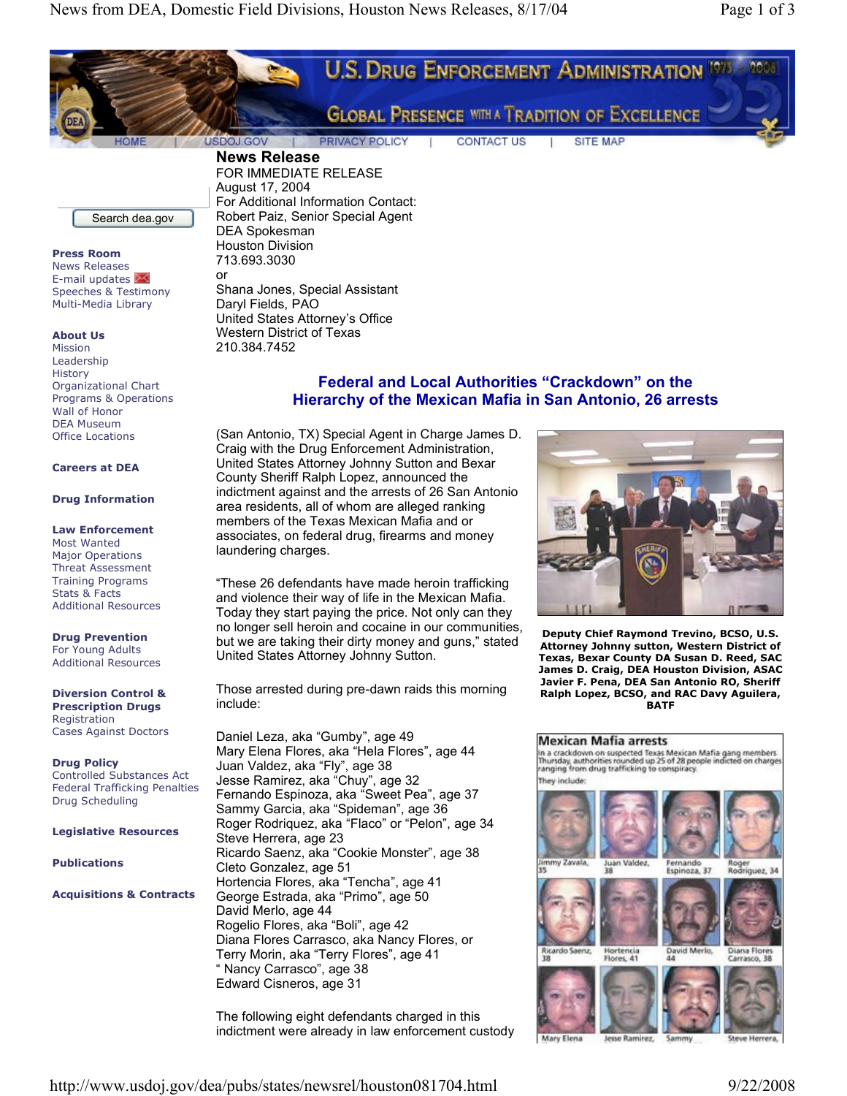

**Press Room** News Releases E-mail updates Speeches & Testimony Multi-Media Library

**About Us**

Mission Leadership **History** Organizational Chart Programs & Operations Wall of Honor DEA Museum Office Locations

## **Careers at DEA**

### **Drug Information**

## **Law Enforcement**

Most Wanted Major Operations Threat Assessment Training Programs Stats & Facts Additional Resources

**Drug Prevention** For Young Adults Additional Resources

**Diversion Control & Prescription Drugs** Registration Cases Against Doctors

**Drug Policy** Controlled Substances Act Federal Trafficking Penalties Drug Scheduling

**Legislative Resources**

**Publications**

**Acquisitions & Contracts**

Houston Division 713.693.3030 or Shana Jones, Special Assistant Daryl Fields, PAO United States Attorney's Office Western District of Texas 210.384.7452

# **Federal and Local Authorities "Crackdown" on the Hierarchy of the Mexican Mafia in San Antonio, 26 arrests**

(San Antonio, TX) Special Agent in Charge James D. Craig with the Drug Enforcement Administration, United States Attorney Johnny Sutton and Bexar County Sheriff Ralph Lopez, announced the indictment against and the arrests of 26 San Antonio area residents, all of whom are alleged ranking members of the Texas Mexican Mafia and or associates, on federal drug, firearms and money laundering charges.

"These 26 defendants have made heroin trafficking and violence their way of life in the Mexican Mafia. Today they start paying the price. Not only can they no longer sell heroin and cocaine in our communities, but we are taking their dirty money and guns," stated United States Attorney Johnny Sutton.

Those arrested during pre-dawn raids this morning include:

Daniel Leza, aka "Gumby", age 49 Mary Elena Flores, aka "Hela Flores", age 44 Juan Valdez, aka "Fly", age 38 Jesse Ramirez, aka "Chuy", age 32 Fernando Espinoza, aka "Sweet Pea", age 37 Sammy Garcia, aka "Spideman", age 36 Roger Rodriquez, aka "Flaco" or "Pelon", age 34 Steve Herrera, age 23 Ricardo Saenz, aka "Cookie Monster", age 38 Cleto Gonzalez, age 51 Hortencia Flores, aka "Tencha", age 41 George Estrada, aka "Primo", age 50 David Merlo, age 44 Rogelio Flores, aka "Boli", age 42 Diana Flores Carrasco, aka Nancy Flores, or Terry Morin, aka "Terry Flores", age 41 " Nancy Carrasco", age 38 Edward Cisneros, age 31

The following eight defendants charged in this indictment were already in law enforcement custody



**Deputy Chief Raymond Trevino, BCSO, U.S. Attorney Johnny sutton, Western District of Texas, Bexar County DA Susan D. Reed, SAC James D. Craig, DEA Houston Division, ASAC Javier F. Pena, DEA San Antonio RO, Sheriff Ralph Lopez, BCSO, and RAC Davy Aguilera, BATF**

### **Mexican Mafia arrests**

The crackdown on suspected Texas Mexican Mafia gang members<br>Thursday, authorities rounded up 25 of 28 people indicted on charges<br>ranging from drug trafficking to conspiracy. They include:



Mary Elena Jesse Ramirez. Steve Herrera.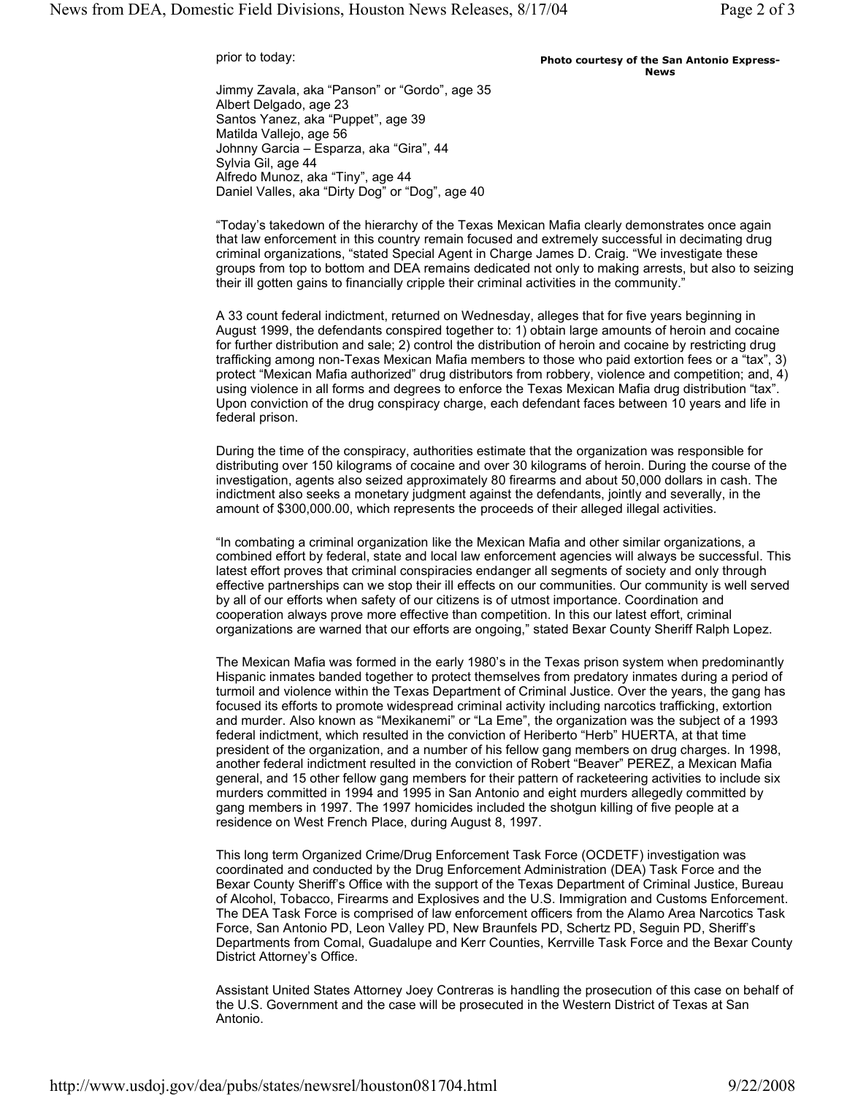prior to today:

#### **Photo courtesy of the San Antonio Express-News**

Jimmy Zavala, aka "Panson" or "Gordo", age 35 Albert Delgado, age 23 Santos Yanez, aka "Puppet", age 39 Matilda Vallejo, age 56 Johnny Garcia – Esparza, aka "Gira", 44 Sylvia Gil, age 44 Alfredo Munoz, aka "Tiny", age 44 Daniel Valles, aka "Dirty Dog" or "Dog", age 40

"Today's takedown of the hierarchy of the Texas Mexican Mafia clearly demonstrates once again that law enforcement in this country remain focused and extremely successful in decimating drug criminal organizations, "stated Special Agent in Charge James D. Craig. "We investigate these groups from top to bottom and DEA remains dedicated not only to making arrests, but also to seizing their ill gotten gains to financially cripple their criminal activities in the community."

A 33 count federal indictment, returned on Wednesday, alleges that for five years beginning in August 1999, the defendants conspired together to: 1) obtain large amounts of heroin and cocaine for further distribution and sale; 2) control the distribution of heroin and cocaine by restricting drug trafficking among non-Texas Mexican Mafia members to those who paid extortion fees or a "tax", 3) protect "Mexican Mafia authorized" drug distributors from robbery, violence and competition; and, 4) using violence in all forms and degrees to enforce the Texas Mexican Mafia drug distribution "tax". Upon conviction of the drug conspiracy charge, each defendant faces between 10 years and life in federal prison.

During the time of the conspiracy, authorities estimate that the organization was responsible for distributing over 150 kilograms of cocaine and over 30 kilograms of heroin. During the course of the investigation, agents also seized approximately 80 firearms and about 50,000 dollars in cash. The indictment also seeks a monetary judgment against the defendants, jointly and severally, in the amount of \$300,000.00, which represents the proceeds of their alleged illegal activities.

"In combating a criminal organization like the Mexican Mafia and other similar organizations, a combined effort by federal, state and local law enforcement agencies will always be successful. This latest effort proves that criminal conspiracies endanger all segments of society and only through effective partnerships can we stop their ill effects on our communities. Our community is well served by all of our efforts when safety of our citizens is of utmost importance. Coordination and cooperation always prove more effective than competition. In this our latest effort, criminal organizations are warned that our efforts are ongoing," stated Bexar County Sheriff Ralph Lopez.

The Mexican Mafia was formed in the early 1980's in the Texas prison system when predominantly Hispanic inmates banded together to protect themselves from predatory inmates during a period of turmoil and violence within the Texas Department of Criminal Justice. Over the years, the gang has focused its efforts to promote widespread criminal activity including narcotics trafficking, extortion and murder. Also known as "Mexikanemi" or "La Eme", the organization was the subject of a 1993 federal indictment, which resulted in the conviction of Heriberto "Herb" HUERTA, at that time president of the organization, and a number of his fellow gang members on drug charges. In 1998, another federal indictment resulted in the conviction of Robert "Beaver" PEREZ, a Mexican Mafia general, and 15 other fellow gang members for their pattern of racketeering activities to include six murders committed in 1994 and 1995 in San Antonio and eight murders allegedly committed by gang members in 1997. The 1997 homicides included the shotgun killing of five people at a residence on West French Place, during August 8, 1997.

This long term Organized Crime/Drug Enforcement Task Force (OCDETF) investigation was coordinated and conducted by the Drug Enforcement Administration (DEA) Task Force and the Bexar County Sheriff's Office with the support of the Texas Department of Criminal Justice, Bureau of Alcohol, Tobacco, Firearms and Explosives and the U.S. Immigration and Customs Enforcement. The DEA Task Force is comprised of law enforcement officers from the Alamo Area Narcotics Task Force, San Antonio PD, Leon Valley PD, New Braunfels PD, Schertz PD, Seguin PD, Sheriff's Departments from Comal, Guadalupe and Kerr Counties, Kerrville Task Force and the Bexar County District Attorney's Office.

Assistant United States Attorney Joey Contreras is handling the prosecution of this case on behalf of the U.S. Government and the case will be prosecuted in the Western District of Texas at San Antonio.